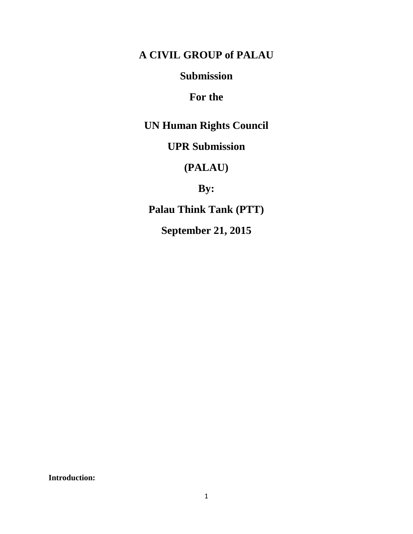# **A CIVIL GROUP of PALAU**

## **Submission**

# **For the**

**UN Human Rights Council**

# **UPR Submission**

# **(PALAU)**

**By:**

**Palau Think Tank (PTT)**

**September 21, 2015**

**Introduction:**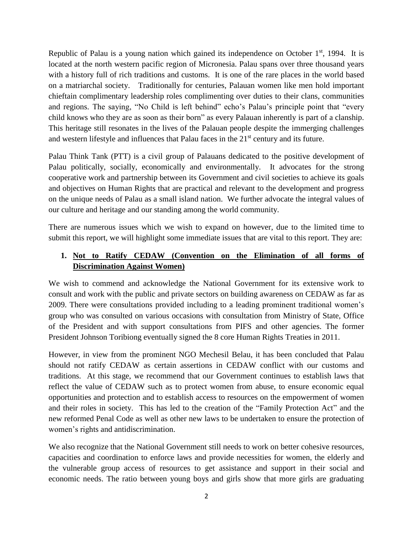Republic of Palau is a young nation which gained its independence on October  $1<sup>st</sup>$ , 1994. It is located at the north western pacific region of Micronesia. Palau spans over three thousand years with a history full of rich traditions and customs. It is one of the rare places in the world based on a matriarchal society. Traditionally for centuries, Palauan women like men hold important chieftain complimentary leadership roles complimenting over duties to their clans, communities and regions. The saying, "No Child is left behind" echo's Palau's principle point that "every child knows who they are as soon as their born" as every Palauan inherently is part of a clanship. This heritage still resonates in the lives of the Palauan people despite the immerging challenges and western lifestyle and influences that Palau faces in the 21<sup>st</sup> century and its future.

Palau Think Tank (PTT) is a civil group of Palauans dedicated to the positive development of Palau politically, socially, economically and environmentally. It advocates for the strong cooperative work and partnership between its Government and civil societies to achieve its goals and objectives on Human Rights that are practical and relevant to the development and progress on the unique needs of Palau as a small island nation. We further advocate the integral values of our culture and heritage and our standing among the world community.

There are numerous issues which we wish to expand on however, due to the limited time to submit this report, we will highlight some immediate issues that are vital to this report. They are:

#### **1. Not to Ratify CEDAW (Convention on the Elimination of all forms of Discrimination Against Women)**

We wish to commend and acknowledge the National Government for its extensive work to consult and work with the public and private sectors on building awareness on CEDAW as far as 2009. There were consultations provided including to a leading prominent traditional women's group who was consulted on various occasions with consultation from Ministry of State, Office of the President and with support consultations from PIFS and other agencies. The former President Johnson Toribiong eventually signed the 8 core Human Rights Treaties in 2011.

However, in view from the prominent NGO Mechesil Belau, it has been concluded that Palau should not ratify CEDAW as certain assertions in CEDAW conflict with our customs and traditions. At this stage, we recommend that our Government continues to establish laws that reflect the value of CEDAW such as to protect women from abuse, to ensure economic equal opportunities and protection and to establish access to resources on the empowerment of women and their roles in society. This has led to the creation of the "Family Protection Act" and the new reformed Penal Code as well as other new laws to be undertaken to ensure the protection of women's rights and antidiscrimination.

We also recognize that the National Government still needs to work on better cohesive resources, capacities and coordination to enforce laws and provide necessities for women, the elderly and the vulnerable group access of resources to get assistance and support in their social and economic needs. The ratio between young boys and girls show that more girls are graduating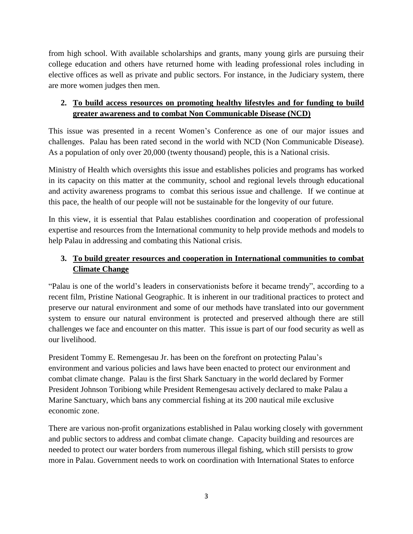from high school. With available scholarships and grants, many young girls are pursuing their college education and others have returned home with leading professional roles including in elective offices as well as private and public sectors. For instance, in the Judiciary system, there are more women judges then men.

## **2. To build access resources on promoting healthy lifestyles and for funding to build greater awareness and to combat Non Communicable Disease (NCD)**

This issue was presented in a recent Women's Conference as one of our major issues and challenges. Palau has been rated second in the world with NCD (Non Communicable Disease). As a population of only over 20,000 (twenty thousand) people, this is a National crisis.

Ministry of Health which oversights this issue and establishes policies and programs has worked in its capacity on this matter at the community, school and regional levels through educational and activity awareness programs to combat this serious issue and challenge. If we continue at this pace, the health of our people will not be sustainable for the longevity of our future.

In this view, it is essential that Palau establishes coordination and cooperation of professional expertise and resources from the International community to help provide methods and models to help Palau in addressing and combating this National crisis.

## **3. To build greater resources and cooperation in International communities to combat Climate Change**

"Palau is one of the world's leaders in conservationists before it became trendy", according to a recent film, Pristine National Geographic. It is inherent in our traditional practices to protect and preserve our natural environment and some of our methods have translated into our government system to ensure our natural environment is protected and preserved although there are still challenges we face and encounter on this matter. This issue is part of our food security as well as our livelihood.

President Tommy E. Remengesau Jr. has been on the forefront on protecting Palau's environment and various policies and laws have been enacted to protect our environment and combat climate change. Palau is the first Shark Sanctuary in the world declared by Former President Johnson Toribiong while President Remengesau actively declared to make Palau a Marine Sanctuary, which bans any commercial fishing at its 200 nautical mile exclusive economic zone.

There are various non-profit organizations established in Palau working closely with government and public sectors to address and combat climate change. Capacity building and resources are needed to protect our water borders from numerous illegal fishing, which still persists to grow more in Palau. Government needs to work on coordination with International States to enforce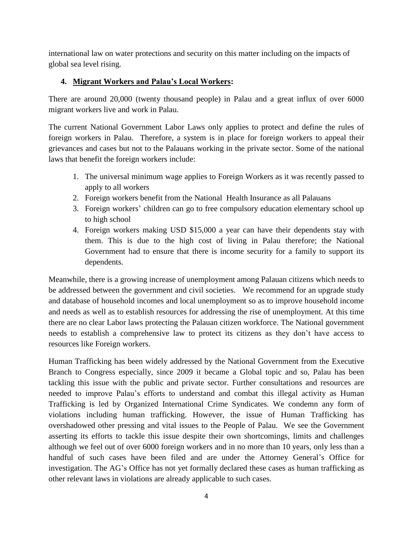international law on water protections and security on this matter including on the impacts of global sea level rising.

### **4. Migrant Workers and Palau's Local Workers:**

There are around 20,000 (twenty thousand people) in Palau and a great influx of over 6000 migrant workers live and work in Palau.

The current National Government Labor Laws only applies to protect and define the rules of foreign workers in Palau. Therefore, a system is in place for foreign workers to appeal their grievances and cases but not to the Palauans working in the private sector. Some of the national laws that benefit the foreign workers include:

- 1. The universal minimum wage applies to Foreign Workers as it was recently passed to apply to all workers
- 2. Foreign workers benefit from the National Health Insurance as all Palauans
- 3. Foreign workers' children can go to free compulsory education elementary school up to high school
- 4. Foreign workers making USD \$15,000 a year can have their dependents stay with them. This is due to the high cost of living in Palau therefore; the National Government had to ensure that there is income security for a family to support its dependents.

Meanwhile, there is a growing increase of unemployment among Palauan citizens which needs to be addressed between the government and civil societies. We recommend for an upgrade study and database of household incomes and local unemployment so as to improve household income and needs as well as to establish resources for addressing the rise of unemployment. At this time there are no clear Labor laws protecting the Palauan citizen workforce. The National government needs to establish a comprehensive law to protect its citizens as they don't have access to resources like Foreign workers.

Human Trafficking has been widely addressed by the National Government from the Executive Branch to Congress especially, since 2009 it became a Global topic and so, Palau has been tackling this issue with the public and private sector. Further consultations and resources are needed to improve Palau's efforts to understand and combat this illegal activity as Human Trafficking is led by Organized International Crime Syndicates. We condemn any form of violations including human trafficking. However, the issue of Human Trafficking has overshadowed other pressing and vital issues to the People of Palau. We see the Government asserting its efforts to tackle this issue despite their own shortcomings, limits and challenges although we feel out of over 6000 foreign workers and in no more than 10 years, only less than a handful of such cases have been filed and are under the Attorney General's Office for investigation. The AG's Office has not yet formally declared these cases as human trafficking as other relevant laws in violations are already applicable to such cases.